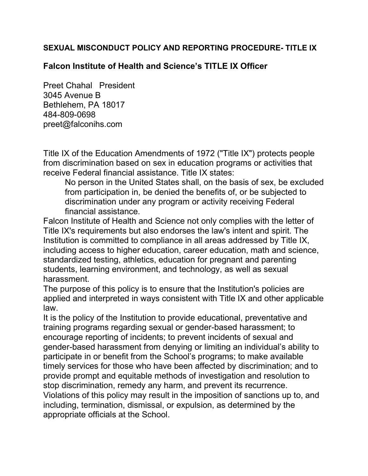## SEXUAL MISCONDUCT POLICY AND REPORTING PROCEDURE- TITLE IX

## Falcon Institute of Health and Science's TITLE IX Officer

Preet Chahal President 3045 Avenue B Bethlehem, PA 18017 484-809-0698 preet@falconihs.com

Title IX of the Education Amendments of 1972 ("Title IX") protects people from discrimination based on sex in education programs or activities that receive Federal financial assistance. Title IX states:

No person in the United States shall, on the basis of sex, be excluded from participation in, be denied the benefits of, or be subjected to discrimination under any program or activity receiving Federal financial assistance.

Falcon Institute of Health and Science not only complies with the letter of Title IX's requirements but also endorses the law's intent and spirit. The Institution is committed to compliance in all areas addressed by Title IX, including access to higher education, career education, math and science, standardized testing, athletics, education for pregnant and parenting students, learning environment, and technology, as well as sexual harassment.

The purpose of this policy is to ensure that the Institution's policies are applied and interpreted in ways consistent with Title IX and other applicable law.

It is the policy of the Institution to provide educational, preventative and training programs regarding sexual or gender-based harassment; to encourage reporting of incidents; to prevent incidents of sexual and gender-based harassment from denying or limiting an individual's ability to participate in or benefit from the School's programs; to make available timely services for those who have been affected by discrimination; and to provide prompt and equitable methods of investigation and resolution to stop discrimination, remedy any harm, and prevent its recurrence. Violations of this policy may result in the imposition of sanctions up to, and including, termination, dismissal, or expulsion, as determined by the appropriate officials at the School.